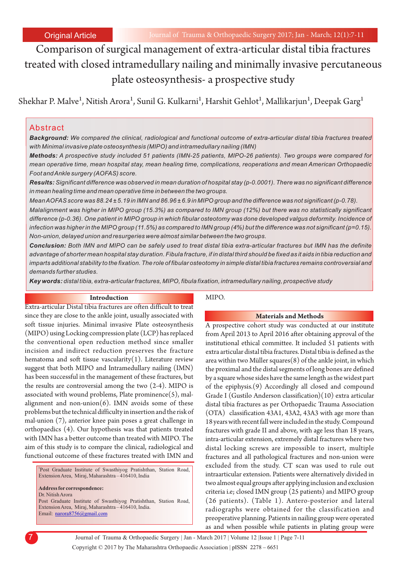Comparison of surgical management of extra-articular distal tibia fractures treated with closed intramedullary nailing and minimally invasive percutaneous plate osteosynthesis- a prospective study

Shekhar P. Malve<sup>1</sup>, Nitish Arora<sup>1</sup>, Sunil G. Kulkarni<sup>1</sup>, Harshit Gehlot<sup>1</sup>, Mallikarjun<sup>1</sup>, Deepak Garg<sup>1</sup>

### Abstract

*Background: We compared the clinical, radiological and functional outcome of extra-articular distal tibia fractures treated with Minimal invasive plate osteosynthesis (MIPO) and intramedullary nailing (IMN)*

*Methods: A prospective study included 51 patients (IMN-25 patients, MIPO-26 patients). Two groups were compared for mean operative time, mean hospital stay, mean healing time, complications, reoperations and mean American Orthopaedic Foot and Ankle surgery (AOFAS) score.* 

*Results: Significant difference was observed in mean duration of hospital stay (p-0.0001). There was no significant difference in mean healing time and mean operative time in between the two groups.*

*Mean AOFAS score was 88.24 ± 5.19 in IMN and 86.96 ± 6.9 in MIPO group and the difference was not significant (p-0.78).* 

*Malalignment was higher in MIPO group (15.3%) as compared to IMN group (12%) but there was no statistically significant difference (p-0.36). One patient in MIPO group in which fibular osteotomy was done developed valgus deformity. Incidence of infection was higher in the MIPO group (11.5%) as compared to IMN group (4%) but the difference was not significant (p=0.15). Non-union, delayed union and resurgeries were almost similar between the two groups.*

*Conclusion: Both IMN and MIPO can be safely used to treat distal tibia extra-articular fractures but IMN has the definite advantage of shorter mean hospital stay duration. Fibula fracture, if in distal third should be fixed as it aids in tibia reduction and imparts additional stability to the fixation. The role of fibular osteotomy in simple distal tibia fractures remains controversial and demands further studies.*

*Key words: distal tibia, extra-articular fractures, MIPO, fibula fixation, intramedullary nailing, prospective study* 

#### **Introduction**

Extra-articular Distal tibia fractures are often difficult to treat since they are close to the ankle joint, usually associated with soft tissue injuries. Minimal invasive Plate osteosynthesis (MIPO) using Locking compression plate (LCP) has replaced the conventional open reduction method since smaller incision and indirect reduction preserves the fracture hematoma and soft tissue vascularity $(1)$ . Literature review suggest that both MIPO and Intramedullary nailing (IMN) has been successful in the management of these fractures, but the results are controversial among the two (2-4). MIPO is associated with wound problems, Plate prominence $(5)$ , malalignment and non-union $(6)$ . IMN avoids some of these problems but the technical difficulty in insertion and the risk of mal-union (7), anterior knee pain poses a great challenge in orthopaedics (4). Our hypothesis was that patients treated with IMN has a better outcome than treated with MIPO. The aim of this study is to compare the clinical, radiological and functional outcome of these fractures treated with IMN and

1 Post Graduate Institute of Swasthiyog Pratishthan, Station Road, Extension Area, Miraj, Maharashtra – 416410, India

**Address for correspondence:**  Dr. Nitish Arora Post Graduate Institute of Swasthiyog Pratishthan, Station Road, Extension Area, Miraj, Maharashtra – 416410, India. Email: [narora8756@gmail.com](mailto:narora8756@gmail.com)

#### MIPO.

#### **Materials and Methods**

A prospective cohort study was conducted at our institute from April 2013 to April 2016 after obtaining approval of the institutional ethical committee. It included 51 patients with extra articular distal tibia fractures. Distal tibia is defined as the area within two Müller squares(8) of the ankle joint, in which the proximal and the distal segments of long bones are defined by a square whose sides have the same length as the widest part of the epiphysis.(9) Accordingly all closed and compound Grade I (Gustilo Anderson classification)(10) extra articular distal tibia fractures as per Orthopaedic Trauma Association (OTA) classification 43A1, 43A2, 43A3 with age more than 18 years with recent fall were included in the study. Compound fractures with grade II and above, with age less than 18 years, intra-articular extension, extremely distal fractures where two distal locking screws are impossible to insert, multiple fractures and all pathological fractures and non-union were excluded from the study. CT scan was used to rule out intraarticular extension. Patients were alternatively divided in two almost equal groups after applying inclusion and exclusion criteria i.e; closed IMN group (25 patients) and MIPO group (26 patients). (Table 1). Antero-posterior and lateral radiographs were obtained for the classification and preoperative planning. Patients in nailing group were operated as and when possible while patients in plating group were

Copyright © 2017 by The Maharashtra Orthopaedic Association | 7 Journal of Trauma & Orthopaedic Surgery | Jan - March 2017 | Volume 12 |Issue 1 | Page 7-11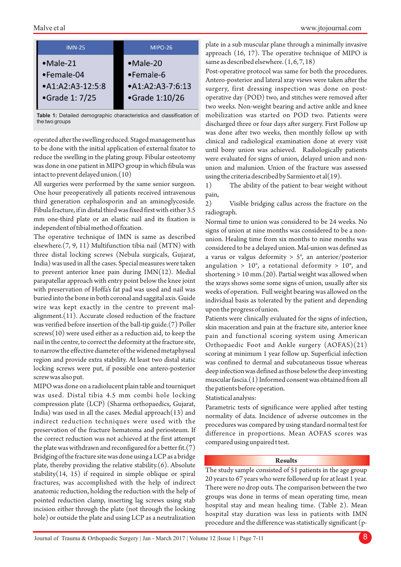#### Malve et al



**Table 1:** Detailed demographic characteristics and classification of the two groups

operated after the swelling reduced. Staged management has to be done with the initial application of external fixator to reduce the swelling in the plating group. Fibular osteotomy was done in one patient in MIPO group in which fibula was intact to prevent delayed union.(10)

All surgeries were performed by the same senior surgeon. One hour preoperatively all patients received intravenous third generation cephalosporin and an aminoglycoside. Fibula fracture, if in distal third was fixed first with either 3.5 mm one-third plate or an elastic nail and its fixation is independent of tibial method of fixation.

The operative technique of IMN is same as described elsewhere.(7, 9, 11) Multifunction tibia nail (MTN) with three distal locking screws (Nebula surgicals, Gujarat, India) was used in all the cases. Special measures were taken to prevent anterior knee pain during IMN(12). Medial parapatellar approach with entry point below the knee joint with preservation of Hoffa's fat pad was used and nail was buried into the bone in both coronal and saggital axis. Guide wire was kept exactly in the centre to prevent malalignment.(11). Accurate closed reduction of the fracture was verified before insertion of the ball-tip guide.(7) Poller screws(10) were used either as a reduction aid, to keep the nail in the centre, to correct the deformity at the fracture site, to narrow the effective diameter of the widened metaphyseal region and provide extra stability. At least two distal static locking screws were put, if possible one antero-posterior screw was also put.

MIPO was done on a radiolucent plain table and tourniquet was used. Distal tibia 4.5 mm combi hole locking compression plate (LCP) (Sharma orthopaedics, Gujarat, India) was used in all the cases. Medial approach(13) and indirect reduction techniques were used with the preservation of the fracture hematoma and periosteum. If the correct reduction was not achieved at the first attempt the plate was withdrawn and reconfigured for a better fit. $(7)$ Bridging of the fracture site was done using a LCP as a bridge plate, thereby providing the relative stability.(6). Absolute stability $(14, 15)$  if required in simple oblique or spiral fractures, was accomplished with the help of indirect anatomic reduction, holding the reduction with the help of pointed reduction clamp, inserting lag screws using stab incision either through the plate (not through the locking hole) or outside the plate and using LCP as a neutralization

plate in a sub muscular plane through a minimally invasive approach (16, 17). The operative technique of MIPO is same as described elsewhere.  $(1, 6, 7, 18)$ 

Post-operative protocol was same for both the procedures. Antero-posterior and lateral xray views were taken after the surgery, first dressing inspection was done on postoperative day (POD) two, and stitches were removed after two weeks. Non-weight bearing and active ankle and knee mobilization was started on POD two. Patients were discharged three or four days after surgery. First Follow up was done after two weeks, then monthly follow up with clinical and radiological examination done at every visit until bony union was achieved. Radiologically patients were evaluated for signs of union, delayed union and nonunion and malunion. Union of the fracture was assessed using the criteria described by Sarmiento et al(19).

1) The ability of the patient to bear weight without pain,

2) Visible bridging callus across the fracture on the radiograph.

Normal time to union was considered to be 24 weeks. No signs of union at nine months was considered to be a nonunion. Healing time from six months to nine months was considered to be a delayed union. Mal-union was defined as a varus or valgus deformity  $> 5^\circ$ , an anterior/posterior angulation >  $10^{\circ}$ , a rotational deformity >  $10^{\circ}$ , and shortening > 10 mm.(20). Partial weight was allowed when the xrays shows some some signs of union, usually after six weeks of operation. Full weight bearing was allowed on the individual basis as tolerated by the patient and depending upon the progress of union.

Patients were clinically evaluated for the signs of infection, skin maceration and pain at the fracture site, anterior knee pain and functional scoring system using American Orthopaedic Foot and Ankle surgery (AOFAS)(21) scoring at minimum 1 year follow up. Superficial infection was confined to dermal and subcutaneous tissue whereas deep infection was defined as those below the deep investing muscular fascia.(1) Informed consent was obtained from all the patients before operation.

Statistical analysis:

Parametric tests of significance were applied after testing normality of data. Incidence of adverse outcomes in the procedures was compared by using standard normal test for difference in proportions. Mean AOFAS scores was compared using unpaired t test.

#### **Results**

The study sample consisted of 51 patients in the age group 20 years to 67 years who were followed up for at least 1 year. There were no drop outs. The comparison between the two groups was done in terms of mean operating time, mean hospital stay and mean healing time. (Table 2). Mean hospital stay duration was less in patients with IMN procedure and the difference was statistically significant (p-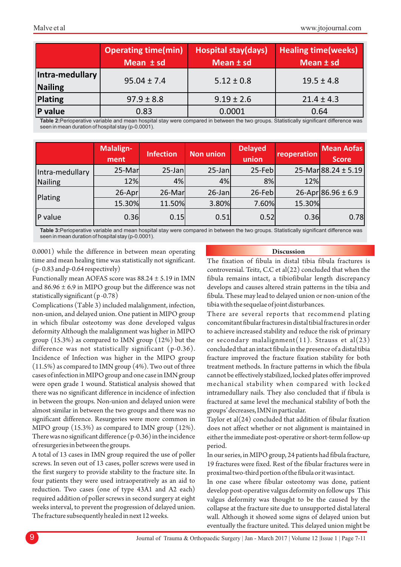|                            | <b>Operating time(min)</b><br>Mean ± sd | <b>Hospital stay(days)</b><br>Mean ± sd | <b>Healing time (weeks)</b><br>Mean ± sd |
|----------------------------|-----------------------------------------|-----------------------------------------|------------------------------------------|
| Intra-medullary<br>Nailing | $95.04 \pm 7.4$                         | $5.12 \pm 0.8$                          | $19.5 \pm 4.8$                           |
| Plating                    | $97.9 \pm 8.8$                          | $9.19 \pm 2.6$                          | $21.4 \pm 4.3$                           |
| <b>P</b> value             | 0.83                                    | 0.0001                                  | 0.64                                     |

**Table 2:**Perioperative variable and mean hospital stay were compared in between the two groups. Statistically significant difference was seen in mean duration of hospital stay (p-0.0001).

|                            | Malalign-<br>ment | Infection | <b>Non union</b> | <b>Delayed</b><br>union | reoperation | <b>Mean Aofas</b><br><b>Score</b> |
|----------------------------|-------------------|-----------|------------------|-------------------------|-------------|-----------------------------------|
| Intra-medullary<br>Nailing | 25-Mar            | $25$ -Jan | $25$ -Jan        | 25-Feb                  |             | $25-Mar88.24 \pm 5.19$            |
|                            | 12%               | 4%        | 4%               | 8%                      | 12%         |                                   |
| Plating                    | $26$ -Apr         | 26-Mar    | 26-Jan           | 26-Feb                  |             | 26-Apr 86.96 ± 6.9                |
|                            | 15.30%            | 11.50%    | 3.80%            | 7.60%                   | 15.30%      |                                   |
| <b>P</b> value             | 0.36              | 0.15      | 0.51             | 0.52                    | 0.36        | 0.78                              |

**Table 3:**Perioperative variable and mean hospital stay were compared in between the two groups. Statistically significant difference was seen in mean duration of hospital stay (p-0.0001).

0.0001) while the difference in between mean operating time and mean healing time was statistically not significant. (p- 0.83 and p-0.64 respectively)

Functionally mean AOFAS score was 88.24 ± 5.19 in IMN and  $86.96 \pm 6.9$  in MIPO group but the difference was not statistically significant (p -0.78)

Complications (Table 3) included malalignment, infection, non-union, and delayed union. One patient in MIPO group in which fibular osteotomy was done developed valgus deformity Although the malalignment was higher in MIPO group (15.3%) as compared to IMN group (12%) but the difference was not statistically significant (p-0.36). Incidence of Infection was higher in the MIPO group (11.5%) as compared to IMN group (4%). Two out of three cases of infection in MIPO group and one case in IMN group were open grade 1 wound. Statistical analysis showed that there was no significant difference in incidence of infection in between the groups. Non-union and delayed union were almost similar in between the two groups and there was no significant difference. Resurgeries were more common in MIPO group (15.3%) as compared to IMN group (12%). There was no significant difference (p-0.36) in the incidence of resurgeries in between the groups.

A total of 13 cases in IMN group required the use of poller screws. In seven out of 13 cases, poller screws were used in the first surgery to provide stability to the fracture site. In four patients they were used intraoperatively as an aid to reduction. Two cases (one of type 43A1 and A2 each) required addition of poller screws in second surgery at eight weeks interval, to prevent the progression of delayed union. The fracture subsequently healed in next 12 weeks.

#### **Discussion**

The fixation of fibula in distal tibia fibula fractures is controversial. Teitz, C.C et al(22) concluded that when the fibula remains intact, a tibiofibular length discrepancy develops and causes altered strain patterns in the tibia and fibula. These may lead to delayed union or non-union of the tibia with the sequelae of joint disturbances.

There are several reports that recommend plating concomitant fibular fractures in distal tibial fractures in order to achieve increased stability and reduce the risk of primary or secondary malalignment(11). Strauss et al(23) concluded that an intact fibula in the presence of a distal tibia fracture improved the fracture fixation stability for both treatment methods. In fracture patterns in which the fibula cannot be effectively stabilized, locked plates offer improved mechanical stability when compared with locked intramedullary nails. They also concluded that if fibula is fractured at same level the mechanical stability of both the groups' decreases, IMN in particular.

Taylor et al(24) concluded that addition of fibular fixation does not affect whether or not alignment is maintained in either the immediate post-operative or short-term follow-up period.

In our series, in MIPO group, 24 patients had fibula fracture, 19 fractures were fixed. Rest of the fibular fractures were in proximal two-third portion of the fibula or it was intact.

In one case where fibular osteotomy was done, patient develop post-operative valgus deformity on follow ups This valgus deformity was thought to be the caused by the collapse at the fracture site due to unsupported distal lateral wall. Although it showed some signs of delayed union but eventually the fracture united. This delayed union might be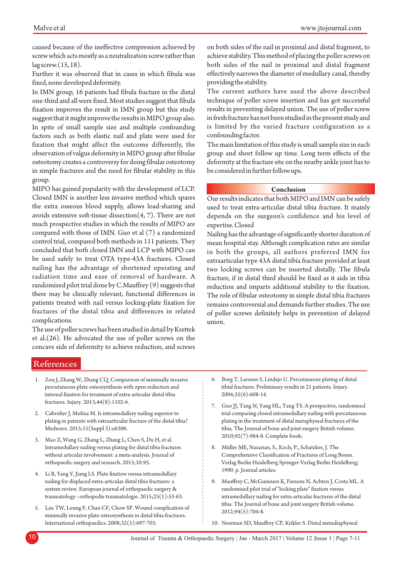caused because of the ineffective compression achieved by screw which acts mostly as a neutralization screw rather than lag screw.(15, 18).

Further it was observed that in cases in which fibula was fixed, none developed deformity.

In IMN group, 16 patients had fibula fracture in the distal one-third and all were fixed. Most studies suggest that fibula fixation improves the result in IMN group but this study suggest that it might improve the results in MIPO group also. In spite of small sample size and multiple confounding factors such as both elastic nail and plate were used for fixation that might affect the outcome differently, the observation of valgus deformity in MIPO group after fibular osteotomy creates a controversy for doing fibular osteotomy in simple fractures and the need for fibular stability in this group.

MIPO has gained popularity with the development of LCP. Closed IMN is another less invasive method which spares the extra osseous blood supply, allows load-sharing and avoids extensive soft-tissue dissection $(4, 7)$ . There are not much prospective studies in which the results of MIPO are compared with those of IMN. Guo et al (7) a randomized control trial, compared both methods in 111 patients. They concluded that both closed IMN and LCP with MIPO can be used safely to treat OTA type-43A fractures. Closed nailing has the advantage of shortened operating and radiation time and ease of removal of hardware. A randomized pilot trial done by C.Mauffrey (9) suggests that there may be clinically relevant, functional differences in patients treated with nail versus locking-plate fixation for fractures of the distal tibia and differences in related complications.

The use of poller screws has been studied in detail by Krettek et al.(26). He advocated the use of poller screws on the concave side of deformity to achieve reduction, and screws on both sides of the nail in proximal and distal fragment, to achieve stability. This method of placing the poller screws on both sides of the nail in proximal and distal fragment effectively narrows the diameter of medullary canal, thereby providing the stability.

The current authors have used the above described technique of poller screw insertion and has got successful results in preventing delayed union. The use of poller screw in fresh fracture has not been studied in the present study and is limited by the varied fracture configuration as a confounding factor.

The main limitation of this study is small sample size in each group and short follow up time. Long term effects of the deformity at the fracture site on the nearby ankle joint has to be considered in further follow ups.

#### **Conclusion**

Our results indicates that both MIPO and IMN can be safely used to treat extra-articular distal tibia fracture. It mainly depends on the surgeon's confidence and his level of expertise. Closed

Nailing has the advantage of significantly shorter duration of mean hospital stay. Although complication rates are similar in both the groups, all authors preferred IMN for extraarticular type 43A distal tibia fracture provided at least two locking screws can be inserted distally. The fibula fracture, if in distal third should be fixed as it aids in tibia reduction and imparts additional stability to the fixation. The role of fibular osteotomy in simple distal tibia fractures remains controversial and demands further studies. The use of poller screws definitely helps in prevention of delayed union.

## References

- 1. Zou J, Zhang W, Zhang CQ. Comparison of minimally invasive percutaneous plate osteosynthesis with open reduction and internal fixation for treatment of extra-articular distal tibia fractures. Injury. 2013;44(8):1102-6.
- 2. Cabrolier J, Molina M. Is intramedullary nailing superior to plating in patients with extraarticular fracture of the distal tibia? Medwave. 2015;15(Suppl 3):e6306.
- 3. Mao Z, Wang G, Zhang L, Zhang L, Chen S, Du H, et al. Intramedullary nailing versus plating for distal tibia fractures without articular involvement: a meta-analysis. Journal of orthopaedic surgery and research. 2015;10:95.
- 4. Li B, Yang Y, Jiang LS. Plate fixation versus intramedullary nailing for displaced extra-articular distal tibia fractures: a system review. European journal of orthopaedic surgery & traumatology : orthopedie traumatologie. 2015;25(1):53-63.
- 5. Lau TW, Leung F, Chan CF, Chow SP. Wound complication of minimally invasive plate osteosynthesis in distal tibia fractures. International orthopaedics. 2008;32(5):697-703.
- 6. Borg T, Larsson S, Lindsjo U. Percutaneous plating of distal tibial fractures. Preliminary results in 21 patients. Injury. 2004;35(6):608-14.
- 7. Guo JJ, Tang N, Yang HL, Tang TS. A prospective, randomised trial comparing closed intramedullary nailing with percutaneous plating in the treatment of distal metaphyseal fractures of the tibia. The Journal of bone and joint surgery British volume. 2010;92(7):984-8. Complete book:
- 8. Müller ME, Nazarian, S., Koch, P., Schatzker, J. The Comprehensive Classification of Fractures of Long Bones. Verlag Berlin Heidelberg Springer-Verlag Berlin Heidelberg; 1990. p. Journal articles:
- 9. Mauffrey C, McGuinness K, Parsons N, Achten J, Costa ML. A randomised pilot trial of "locking plate" fixation versus intramedullary nailing for extra-articular fractures of the distal tibia. The Journal of bone and joint surgery British volume. 2012;94(5):704-8.
- 10. Newman SD, Mauffrey CP, Krikler S. Distal metadiaphyseal